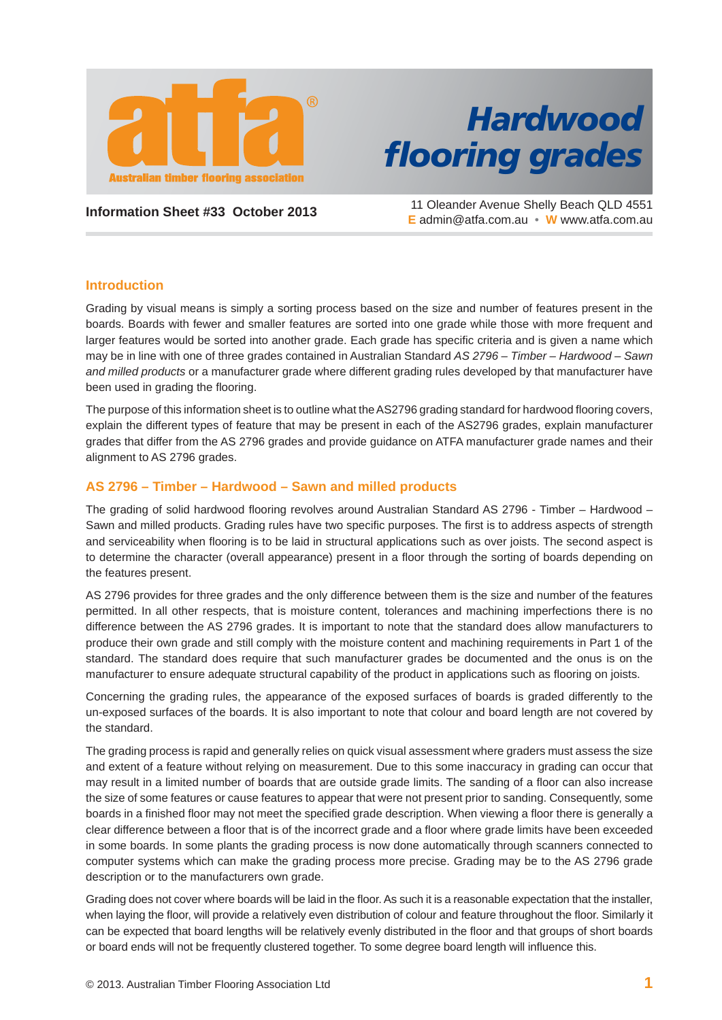

# *Hardwood fl ooring grades*

**Information Sheet #33 October 2013** 11 Oleander Avenue Shelly Beach QLD 4551 **E** admin@atfa.com.au • **W** www.atfa.com.au

## **Introduction**

Grading by visual means is simply a sorting process based on the size and number of features present in the boards. Boards with fewer and smaller features are sorted into one grade while those with more frequent and larger features would be sorted into another grade. Each grade has specific criteria and is given a name which may be in line with one of three grades contained in Australian Standard *AS 2796 – Timber – Hardwood – Sawn and milled products* or a manufacturer grade where different grading rules developed by that manufacturer have been used in grading the flooring.

The purpose of this information sheet is to outline what the AS2796 grading standard for hardwood flooring covers, explain the different types of feature that may be present in each of the AS2796 grades, explain manufacturer grades that differ from the AS 2796 grades and provide guidance on ATFA manufacturer grade names and their alignment to AS 2796 grades.

## **AS 2796 – Timber – Hardwood – Sawn and milled products**

The grading of solid hardwood flooring revolves around Australian Standard AS 2796 - Timber – Hardwood – Sawn and milled products. Grading rules have two specific purposes. The first is to address aspects of strength and serviceability when flooring is to be laid in structural applications such as over joists. The second aspect is to determine the character (overall appearance) present in a floor through the sorting of boards depending on the features present.

AS 2796 provides for three grades and the only difference between them is the size and number of the features permitted. In all other respects, that is moisture content, tolerances and machining imperfections there is no difference between the AS 2796 grades. It is important to note that the standard does allow manufacturers to produce their own grade and still comply with the moisture content and machining requirements in Part 1 of the standard. The standard does require that such manufacturer grades be documented and the onus is on the manufacturer to ensure adequate structural capability of the product in applications such as flooring on joists.

Concerning the grading rules, the appearance of the exposed surfaces of boards is graded differently to the un-exposed surfaces of the boards. It is also important to note that colour and board length are not covered by the standard.

The grading process is rapid and generally relies on quick visual assessment where graders must assess the size and extent of a feature without relying on measurement. Due to this some inaccuracy in grading can occur that may result in a limited number of boards that are outside grade limits. The sanding of a floor can also increase the size of some features or cause features to appear that were not present prior to sanding. Consequently, some boards in a finished floor may not meet the specified grade description. When viewing a floor there is generally a clear difference between a floor that is of the incorrect grade and a floor where grade limits have been exceeded in some boards. In some plants the grading process is now done automatically through scanners connected to computer systems which can make the grading process more precise. Grading may be to the AS 2796 grade description or to the manufacturers own grade.

Grading does not cover where boards will be laid in the floor. As such it is a reasonable expectation that the installer, when laying the floor, will provide a relatively even distribution of colour and feature throughout the floor. Similarly it can be expected that board lengths will be relatively evenly distributed in the floor and that groups of short boards or board ends will not be frequently clustered together. To some degree board length will influence this.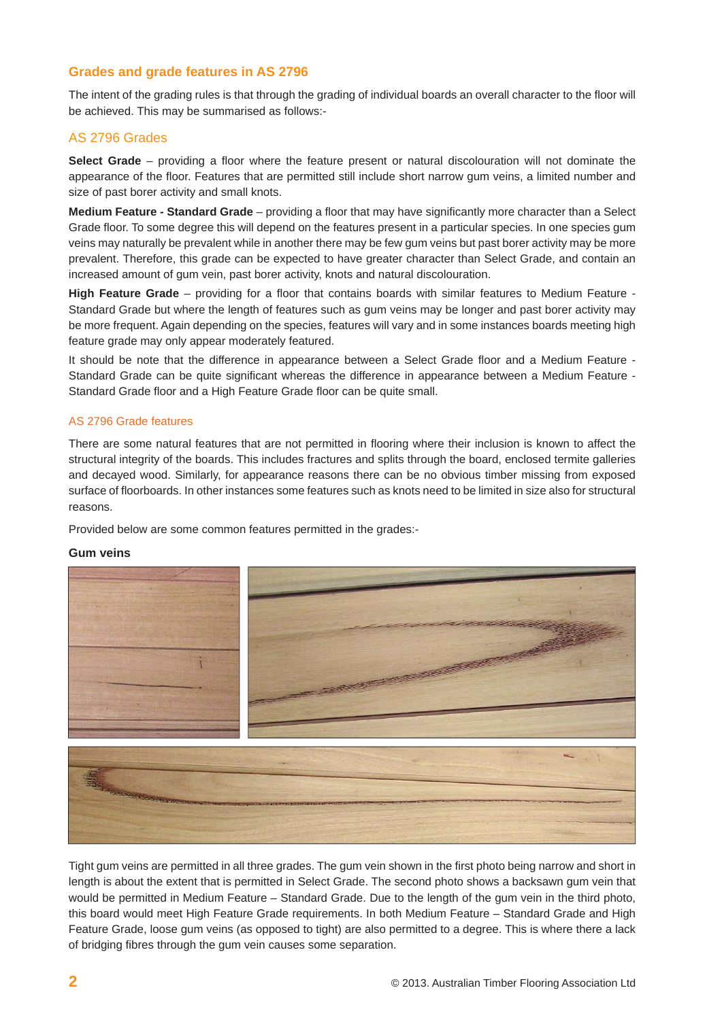## **Grades and grade features in AS 2796**

The intent of the grading rules is that through the grading of individual boards an overall character to the floor will be achieved. This may be summarised as follows:-

### AS 2796 Grades

**Select Grade** – providing a floor where the feature present or natural discolouration will not dominate the appearance of the floor. Features that are permitted still include short narrow gum veins, a limited number and size of past borer activity and small knots.

**Medium Feature - Standard Grade** – providing a floor that may have significantly more character than a Select Grade floor. To some degree this will depend on the features present in a particular species. In one species gum veins may naturally be prevalent while in another there may be few gum veins but past borer activity may be more prevalent. Therefore, this grade can be expected to have greater character than Select Grade, and contain an increased amount of gum vein, past borer activity, knots and natural discolouration.

High Feature Grade – providing for a floor that contains boards with similar features to Medium Feature -Standard Grade but where the length of features such as gum veins may be longer and past borer activity may be more frequent. Again depending on the species, features will vary and in some instances boards meeting high feature grade may only appear moderately featured.

It should be note that the difference in appearance between a Select Grade floor and a Medium Feature -Standard Grade can be quite significant whereas the difference in appearance between a Medium Feature -Standard Grade floor and a High Feature Grade floor can be quite small.

#### AS 2796 Grade features

There are some natural features that are not permitted in flooring where their inclusion is known to affect the structural integrity of the boards. This includes fractures and splits through the board, enclosed termite galleries and decayed wood. Similarly, for appearance reasons there can be no obvious timber missing from exposed surface of floorboards. In other instances some features such as knots need to be limited in size also for structural reasons.

Provided below are some common features permitted in the grades:-

#### **Gum veins**



Tight gum veins are permitted in all three grades. The gum vein shown in the first photo being narrow and short in length is about the extent that is permitted in Select Grade. The second photo shows a backsawn gum vein that would be permitted in Medium Feature – Standard Grade. Due to the length of the gum vein in the third photo, this board would meet High Feature Grade requirements. In both Medium Feature – Standard Grade and High Feature Grade, loose gum veins (as opposed to tight) are also permitted to a degree. This is where there a lack of bridging fibres through the gum vein causes some separation.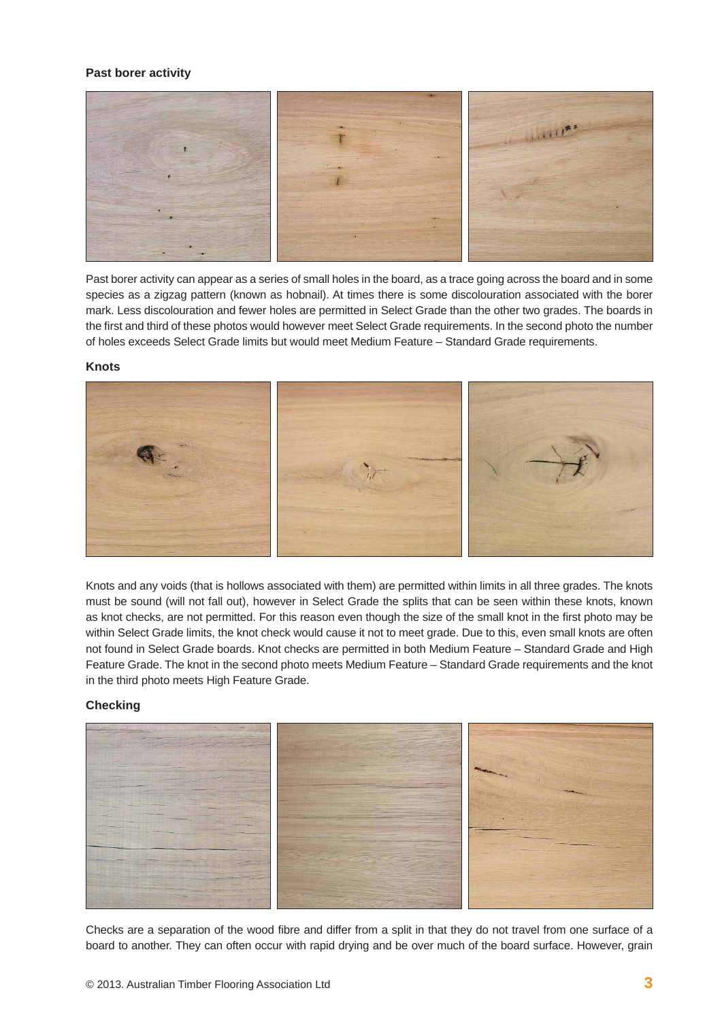#### **Past borer activity**



Past borer activity can appear as a series of small holes in the board, as a trace going across the board and in some species as a zigzag pattern (known as hobnail). At times there is some discolouration associated with the borer mark. Less discolouration and fewer holes are permitted in Select Grade than the other two grades. The boards in the first and third of these photos would however meet Select Grade requirements. In the second photo the number of holes exceeds Select Grade limits but would meet Medium Feature – Standard Grade requirements.

#### **Knots**



Knots and any voids (that is hollows associated with them) are permitted within limits in all three grades. The knots must be sound (will not fall out), however in Select Grade the splits that can be seen within these knots, known as knot checks, are not permitted. For this reason even though the size of the small knot in the first photo may be within Select Grade limits, the knot check would cause it not to meet grade. Due to this, even small knots are often not found in Select Grade boards. Knot checks are permitted in both Medium Feature – Standard Grade and High Feature Grade. The knot in the second photo meets Medium Feature – Standard Grade requirements and the knot in the third photo meets High Feature Grade.

#### **Checking**



Checks are a separation of the wood fibre and differ from a split in that they do not travel from one surface of a board to another. They can often occur with rapid drying and be over much of the board surface. However, grain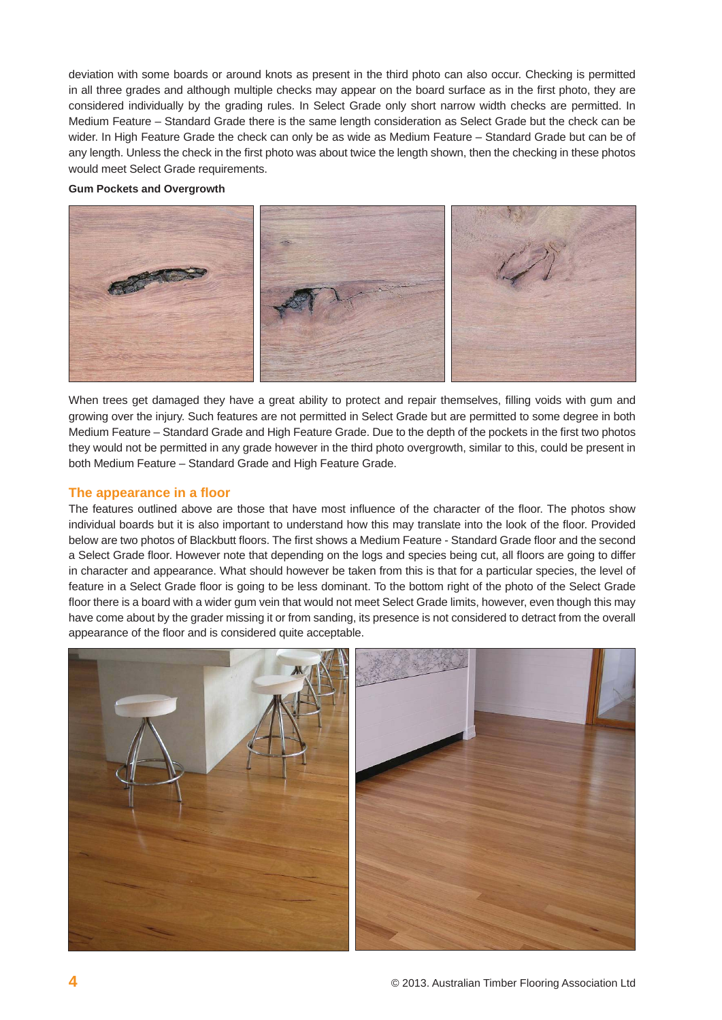deviation with some boards or around knots as present in the third photo can also occur. Checking is permitted in all three grades and although multiple checks may appear on the board surface as in the first photo, they are considered individually by the grading rules. In Select Grade only short narrow width checks are permitted. In Medium Feature – Standard Grade there is the same length consideration as Select Grade but the check can be wider. In High Feature Grade the check can only be as wide as Medium Feature – Standard Grade but can be of any length. Unless the check in the first photo was about twice the length shown, then the checking in these photos would meet Select Grade requirements.

#### **Gum Pockets and Overgrowth**



When trees get damaged they have a great ability to protect and repair themselves, filling voids with gum and growing over the injury. Such features are not permitted in Select Grade but are permitted to some degree in both Medium Feature – Standard Grade and High Feature Grade. Due to the depth of the pockets in the first two photos they would not be permitted in any grade however in the third photo overgrowth, similar to this, could be present in both Medium Feature – Standard Grade and High Feature Grade.

#### **The appearance in a fl oor**

The features outlined above are those that have most influence of the character of the floor. The photos show individual boards but it is also important to understand how this may translate into the look of the floor. Provided below are two photos of Blackbutt floors. The first shows a Medium Feature - Standard Grade floor and the second a Select Grade floor. However note that depending on the logs and species being cut, all floors are going to differ in character and appearance. What should however be taken from this is that for a particular species, the level of feature in a Select Grade floor is going to be less dominant. To the bottom right of the photo of the Select Grade floor there is a board with a wider gum vein that would not meet Select Grade limits, however, even though this may have come about by the grader missing it or from sanding, its presence is not considered to detract from the overall appearance of the floor and is considered quite acceptable.

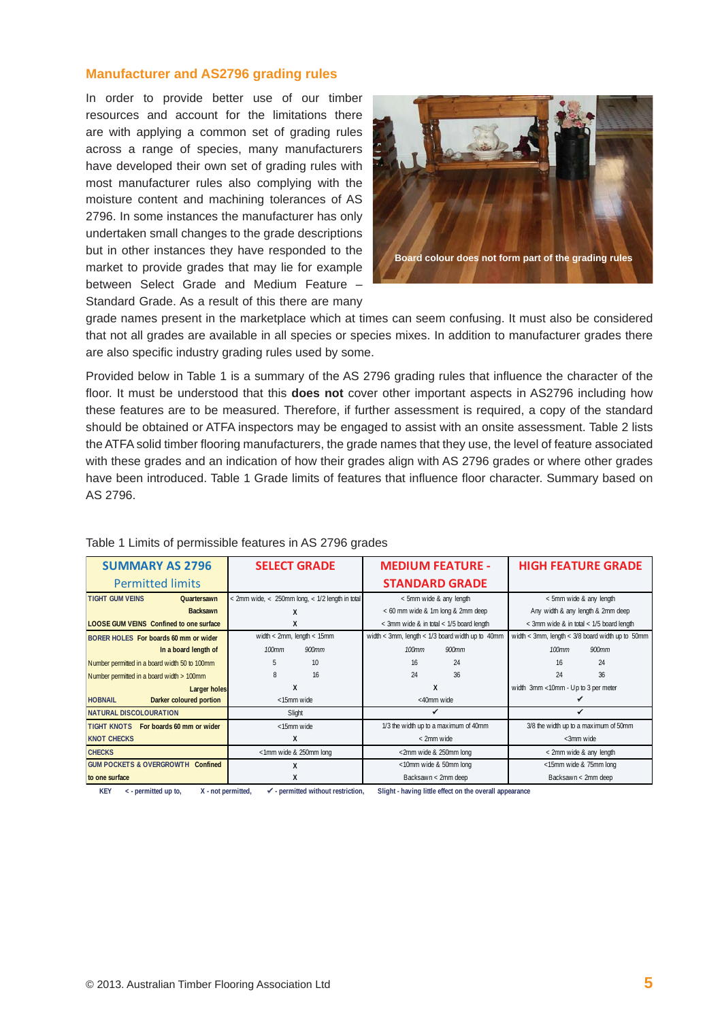### **Manufacturer and AS2796 grading rules**

In order to provide better use of our timber resources and account for the limitations there are with applying a common set of grading rules across a range of species, many manufacturers have developed their own set of grading rules with most manufacturer rules also complying with the moisture content and machining tolerances of AS 2796. In some instances the manufacturer has only undertaken small changes to the grade descriptions but in other instances they have responded to the market to provide grades that may lie for example between Select Grade and Medium Feature – Standard Grade. As a result of this there are many



grade names present in the marketplace which at times can seem confusing. It must also be considered that not all grades are available in all species or species mixes. In addition to manufacturer grades there are also specific industry grading rules used by some.

Provided below in Table 1 is a summary of the AS 2796 grading rules that influence the character of the floor. It must be understood that this **does not** cover other important aspects in AS2796 including how these features are to be measured. Therefore, if further assessment is required, a copy of the standard should be obtained or ATFA inspectors may be engaged to assist with an onsite assessment. Table 2 lists the ATFA solid timber flooring manufacturers, the grade names that they use, the level of feature associated with these grades and an indication of how their grades align with AS 2796 grades or where other grades have been introduced. Table 1 Grade limits of features that influence floor character. Summary based on AS 2796.

| <b>SUMMARY AS 2796</b>                         | <b>SELECT GRADE</b>                                   |                                | <b>MEDIUM FEATURE -</b>                  |                                                    | <b>HIGH FEATURE GRADE</b>                |                                                    |
|------------------------------------------------|-------------------------------------------------------|--------------------------------|------------------------------------------|----------------------------------------------------|------------------------------------------|----------------------------------------------------|
| <b>Permitted limits</b>                        |                                                       |                                | <b>STANDARD GRADE</b>                    |                                                    |                                          |                                                    |
| <b>TIGHT GUM VEINS</b><br>Quartersawn          | $<$ 2mm wide, $<$ 250mm long, $<$ 1/2 length in total |                                | < 5mm wide & any length                  |                                                    | < 5mm wide & any length                  |                                                    |
| <b>Backsawn</b>                                |                                                       |                                | < 60 mm wide & 1m long & 2mm deep        |                                                    | Any width & any length & 2mm deep        |                                                    |
| <b>LOOSE GUM VEINS</b> Confined to one surface | X                                                     |                                | < 3mm wide & in total < 1/5 board length |                                                    | < 3mm wide & in total < 1/5 board length |                                                    |
| BORER HOLES For boards 60 mm or wider          |                                                       | width $<$ 2mm, length $<$ 15mm |                                          | width < 3mm, length < $1/3$ board width up to 40mm |                                          | width < 3mm, length < $3/8$ board width up to 50mm |
| In a board length of                           | 100mm                                                 | 900mm                          | 100mm                                    | 900mm                                              | <b>100mm</b>                             | 900mm                                              |
| Number permitted in a board width 50 to 100mm  |                                                       | 10                             | 16                                       | 24                                                 | 16                                       | 24                                                 |
| Number permitted in a board width > 100mm      | 8                                                     | 16                             | 24                                       | 36                                                 | 24                                       | 36                                                 |
| <b>Larger holes</b>                            | X                                                     |                                | X                                        |                                                    | width 3mm <10mm - Up to 3 per meter      |                                                    |
| <b>HOBNAIL</b><br>Darker coloured portion      | <15mm wide                                            |                                | <40mm wide                               |                                                    |                                          |                                                    |
| <b>NATURAL DISCOLOURATION</b>                  | Slight                                                |                                |                                          |                                                    |                                          |                                                    |
| TIGHT KNOTS For boards 60 mm or wider          | <15mm wide                                            |                                | 1/3 the width up to a maximum of 40mm    |                                                    | 3/8 the width up to a maximum of 50mm    |                                                    |
| <b>KNOT CHECKS</b>                             | X                                                     |                                | < 2mm wide                               |                                                    | <3mm wide                                |                                                    |
| <b>CHECKS</b>                                  | <1mm wide & 250mm long                                |                                | <2mm wide & 250mm long                   |                                                    | < 2mm wide & any length                  |                                                    |
| <b>GUM POCKETS &amp; OVERGROWTH Confined</b>   | X                                                     |                                | <10mm wide & 50mm long                   |                                                    | <15mm wide & 75mm long                   |                                                    |
| to one surface                                 | X                                                     |                                | Backsawn < 2mm deep                      |                                                    | Backsawn < 2mm deep                      |                                                    |

#### Table 1 Limits of permissible features in AS 2796 grades

 **KEY < - permitted up to, X - not permitted, - permitted without restriction, Slight - having little effect on the overall appearance**